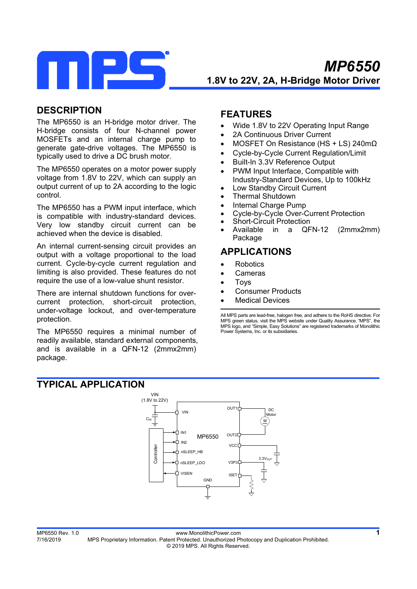

# **DESCRIPTION**

The MP6550 is an H-bridge motor driver. The H-bridge consists of four N-channel power MOSFETs and an internal charge pump to generate gate-drive voltages. The MP6550 is typically used to drive a DC brush motor.

The MP6550 operates on a motor power supply voltage from 1.8V to 22V, which can supply an output current of up to 2A according to the logic control.

The MP6550 has a PWM input interface, which is compatible with industry-standard devices. Very low standby circuit current can be achieved when the device is disabled.

An internal current-sensing circuit provides an output with a voltage proportional to the load current. Cycle-by-cycle current regulation and limiting is also provided. These features do not require the use of a low-value shunt resistor.

There are internal shutdown functions for overcurrent protection, short-circuit protection, under-voltage lockout, and over-temperature protection.

The MP6550 requires a minimal number of readily available, standard external components, and is available in a QFN-12 (2mmx2mm) package.

# **FEATURES**

- Wide 1.8V to 22V Operating Input Range
- 2A Continuous Driver Current
- MOSFET On Resistance (HS + LS) 240mΩ
- Cycle-by-Cycle Current Regulation/Limit
- Built-In 3.3V Reference Output
- PWM Input Interface, Compatible with Industry-Standard Devices, Up to 100kHz
- Low Standby Circuit Current
- Thermal Shutdown
- Internal Charge Pump
- Cycle-by-Cycle Over-Current Protection
- Short-Circuit Protection
- Available in a QFN-12 (2mmx2mm) Package

# **APPLICATIONS**

- Robotics
- Cameras
- Toys
- Consumer Products
- Medical Devices

All MPS parts are lead-free, halogen free, and adhere to the RoHS directive. For MPS green status, visit the MPS website under Quality Assurance. "MPS", the MPS logo, and "Simple, Easy Solutions" are registered trademarks of Monolithic Power Systems, Inc. or its subsidiaries.

# **TYPICAL APPLICATION**

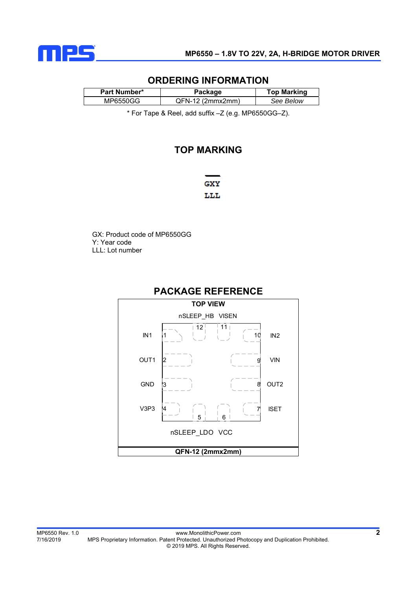

## **ORDERING INFORMATION**

| Part Number* | Package            | <b>Top Marking</b> |
|--------------|--------------------|--------------------|
| MP6550GG     | $QFN-12$ (2mmx2mm) | See Below          |

\* For Tape & Reel, add suffix –Z (e.g. MP6550GG–Z).

# **TOP MARKING**

**GXY** LLL

GX: Product code of MP6550GG Y: Year code LLL: Lot number



# **PACKAGE REFERENCE**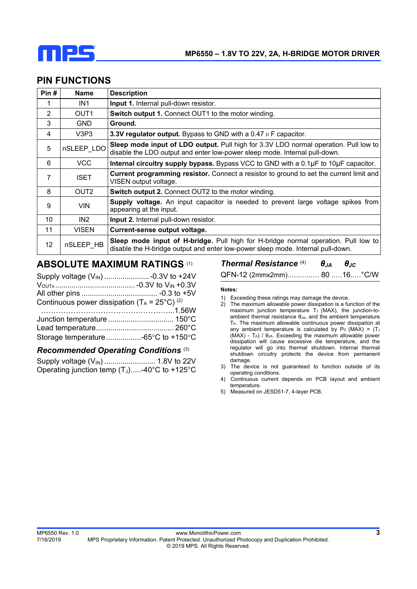

| <b>PIN FUNCTIONS</b> |
|----------------------|
|----------------------|

| Pin# | <b>Name</b>      | <b>Description</b>                                                                                                                                                    |
|------|------------------|-----------------------------------------------------------------------------------------------------------------------------------------------------------------------|
| 1    | IN1              | <b>Input 1.</b> Internal pull-down resistor.                                                                                                                          |
| 2    | OUT1             | <b>Switch output 1. Connect OUT1 to the motor winding.</b>                                                                                                            |
| 3    | <b>GND</b>       | Ground.                                                                                                                                                               |
| 4    | V3P3             | 3.3V regulator output. Bypass to GND with a 0.47 $\mu$ F capacitor.                                                                                                   |
| 5    | nSLEEP LDO       | Sleep mode input of LDO output. Pull high for 3.3V LDO normal operation. Pull low to<br>disable the LDO output and enter low-power sleep mode. Internal pull-down.    |
| 6    | VCC              | Internal circuitry supply bypass. Bypass VCC to GND with a 0.1µF to 10µF capacitor.                                                                                   |
| 7    | <b>ISET</b>      | Current programming resistor. Connect a resistor to ground to set the current limit and<br>VISEN output voltage.                                                      |
| 8    | OUT <sub>2</sub> | Switch output 2. Connect OUT2 to the motor winding.                                                                                                                   |
| 9    | <b>VIN</b>       | Supply voltage. An input capacitor is needed to prevent large voltage spikes from<br>appearing at the input.                                                          |
| 10   | IN <sub>2</sub>  | Input 2. Internal pull-down resistor.                                                                                                                                 |
| 11   | <b>VISEN</b>     | Current-sense output voltage.                                                                                                                                         |
| 12   | nSLEEP HB        | Sleep mode input of H-bridge. Pull high for H-bridge normal operation. Pull low to<br>disable the H-bridge output and enter low-power sleep mode. Internal pull-down. |

## **ABSOLUTE MAXIMUM RATINGS** (1)

| Continuous power dissipation ( $T_A = 25^{\circ}C$ ) <sup>(2)</sup> |  |
|---------------------------------------------------------------------|--|
|                                                                     |  |
|                                                                     |  |
|                                                                     |  |
|                                                                     |  |

#### *Recommended Operating Conditions* (3)

| Operating junction temp $(T_J)$ -40°C to +125°C |  |
|-------------------------------------------------|--|

*Thermal Resistance* (4) *θJA θJC*

QFN-12 (2mmx2mm).…..…...… 80 ..…16..…°C/W

#### **Notes:**

- 1) Exceeding these ratings may damage the device.
- 2) The maximum allowable power dissipation is a function of the maximum junction temperature  $T_J$  (MAX), the junction-toambient thermal resistance  $θ<sub>JA</sub>$ , and the ambient temperature TA. The maximum allowable continuous power dissipation at any ambient temperature is calculated by  $P_D$  (MAX) = (TJ) (MAX) - TA) / θJA. Exceeding the maximum allowable power dissipation will cause excessive die temperature, and the regulator will go into thermal shutdown. Internal thermal shutdown circuitry protects the device from permanent damage.
- 3) The device is not guaranteed to function outside of its operating conditions.
- 4) Continuous current depends on PCB layout and ambient temperature.
- 5) Measured on JESD51-7, 4-layer PCB.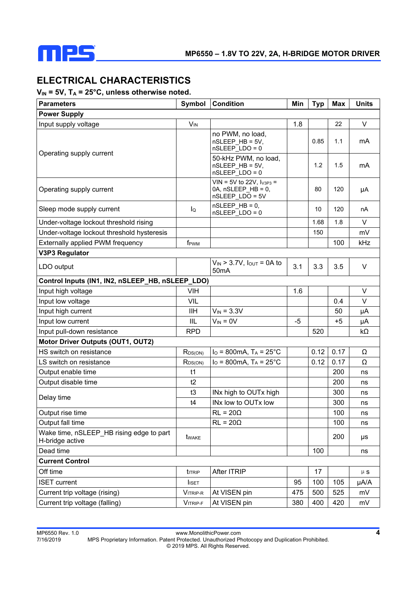

# **ELECTRICAL CHARACTERISTICS**

## V<sub>IN</sub> = 5V, T<sub>A</sub> = 25°C, unless otherwise noted.

| <b>Parameters</b>                                           | Symbol                | <b>Condition</b>                                                         | Min  | <b>Typ</b> | <b>Max</b> | <b>Units</b> |  |  |
|-------------------------------------------------------------|-----------------------|--------------------------------------------------------------------------|------|------------|------------|--------------|--|--|
| <b>Power Supply</b>                                         |                       |                                                                          |      |            |            |              |  |  |
| Input supply voltage                                        | <b>V<sub>IN</sub></b> |                                                                          | 1.8  |            | 22         | $\vee$       |  |  |
| Operating supply current                                    |                       | no PWM, no load,<br>nSLEEP_HB = 5V,<br>$nSLEEP$ $LDO = 0$                |      | 0.85       | 1.1        | mA           |  |  |
|                                                             |                       | 50-kHz PWM, no load,<br>nSLEEP_HB = 5V,<br>$nSLEEP$ $LDO = 0$            |      | 1.2        | 1.5        | mA           |  |  |
| Operating supply current                                    |                       | $VIN = 5V$ to 22V, $I_{V3P3} =$<br>0A, nSLEEP HB = 0,<br>nSLEEP LDO = 5V |      | 80         | 120        | μA           |  |  |
| Sleep mode supply current                                   | lQ                    | $nSLEEP$ HB = 0,<br>nSLEEP_LDO = 0                                       |      | 10         | 120        | nA           |  |  |
| Under-voltage lockout threshold rising                      |                       |                                                                          |      | 1.68       | 1.8        | V            |  |  |
| Under-voltage lockout threshold hysteresis                  |                       |                                                                          |      | 150        |            | mV           |  |  |
| Externally applied PWM frequency                            | f <sub>PWM</sub>      |                                                                          |      |            | 100        | kHz          |  |  |
| <b>V3P3 Regulator</b>                                       |                       |                                                                          |      |            |            |              |  |  |
| LDO output                                                  |                       | $V_{IN}$ > 3.7V, $I_{OUT}$ = 0A to<br>50 <sub>m</sub> A                  | 3.1  | 3.3        | 3.5        | V            |  |  |
| Control Inputs (IN1, IN2, nSLEEP_HB, nSLEEP_LDO)            |                       |                                                                          |      |            |            |              |  |  |
| Input high voltage                                          | <b>VIH</b>            |                                                                          | 1.6  |            |            | $\vee$       |  |  |
| Input low voltage                                           | VIL                   |                                                                          |      |            | 0.4        | $\vee$       |  |  |
| Input high current                                          | <b>IIH</b>            | $V_{IN} = 3.3V$                                                          |      |            | 50         | μA           |  |  |
| Input low current                                           | IIL                   | $V_{IN} = 0V$                                                            | $-5$ |            | $+5$       | μA           |  |  |
| Input pull-down resistance                                  | <b>RPD</b>            |                                                                          |      | 520        |            | kΩ           |  |  |
| <b>Motor Driver Outputs (OUT1, OUT2)</b>                    |                       |                                                                          |      |            |            |              |  |  |
| HS switch on resistance                                     | $R_{DS(ON)}$          | $I_O = 800mA$ , $T_A = 25^{\circ}C$                                      |      | 0.12       | 0.17       | Ω            |  |  |
| LS switch on resistance                                     | $R_{DS(ON)}$          | $I_O = 800mA$ , $T_A = 25^{\circ}C$                                      |      | 0.12       | 0.17       | Ω            |  |  |
| Output enable time                                          | t1                    |                                                                          |      |            | 200        | ns           |  |  |
| Output disable time                                         | t2                    |                                                                          |      |            | 200        | ns           |  |  |
| Delay time                                                  | t3                    | INx high to OUTx high                                                    |      |            | 300        | ns           |  |  |
|                                                             | t4                    | INx low to OUTx low                                                      |      |            | 300        | ns           |  |  |
| Output rise time                                            |                       | $RL = 20\Omega$                                                          |      |            | 100        | ns           |  |  |
| Output fall time                                            |                       | $RL = 20\Omega$                                                          |      |            | 100        | ns           |  |  |
| Wake time, nSLEEP_HB rising edge to part<br>H-bridge active | twake                 |                                                                          |      |            | 200        | μs           |  |  |
| Dead time                                                   |                       |                                                                          |      | 100        |            | ns           |  |  |
| <b>Current Control</b>                                      |                       |                                                                          |      |            |            |              |  |  |
| Off time                                                    | titrip                | After ITRIP                                                              |      | 17         |            | $\upmu$ s    |  |  |
| <b>ISET</b> current                                         | <b>I</b> ISET         |                                                                          | 95   | 100        | 105        | µA/A         |  |  |
| Current trip voltage (rising)                               | VITRIP-R              | At VISEN pin                                                             | 475  | 500        | 525        | mV           |  |  |
| Current trip voltage (falling)                              | VITRIP-F              | At VISEN pin                                                             | 380  | 400        | 420        | mV           |  |  |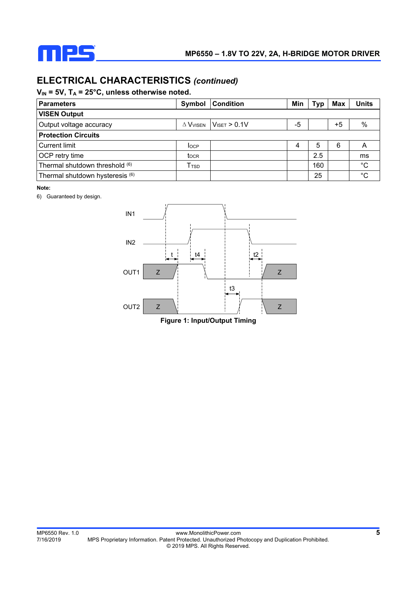

# **ELECTRICAL CHARACTERISTICS** *(continued)*

## V<sub>IN</sub> = 5V, T<sub>A</sub> = 25°C, unless otherwise noted.

| <b>Parameters</b>               | Symbol                      | <b>Condition</b>         | Min | Typ | Max  | <b>Units</b> |
|---------------------------------|-----------------------------|--------------------------|-----|-----|------|--------------|
| <b>VISEN Output</b>             |                             |                          |     |     |      |              |
| Output voltage accuracy         | $\Delta$ $V$ visen          | $V_{\text{ISET}} > 0.1V$ | -5  |     | $+5$ | $\%$         |
| <b>Protection Circuits</b>      |                             |                          |     |     |      |              |
| <b>Current limit</b>            | <b>I</b> OCP                |                          | 4   | 5   | 6    | Α            |
| OCP retry time                  | tocr                        |                          |     | 2.5 |      | ms           |
| Thermal shutdown threshold (6)  | $\mathsf{T}_{\mathsf{TSD}}$ |                          |     | 160 |      | $^{\circ}$ C |
| Thermal shutdown hysteresis (6) |                             |                          |     | 25  |      | °C           |

#### **Note:**

6) Guaranteed by design.



**Figure 1: Input/Output Timing**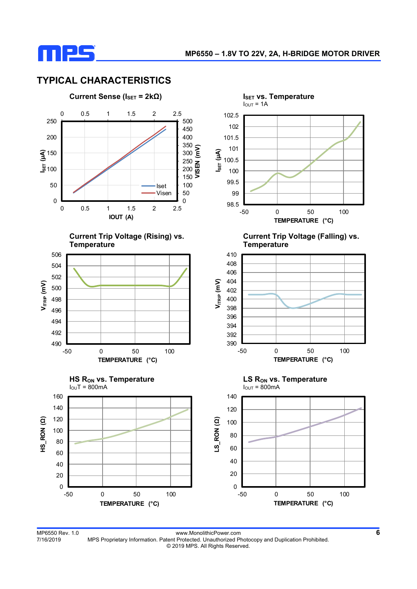

# **TYPICAL CHARACTERISTICS**



MP6550 Rev. 1.0<br>T/16/2019 MPS Proprietary Information. Patent Protected. Unauthorized Photocopy and Duplication Prohibited. MPS Proprietary Information. Patent Protected. Unauthorized Photocopy and Duplication Prohibited. © 2019 MPS. All Rights Reserved.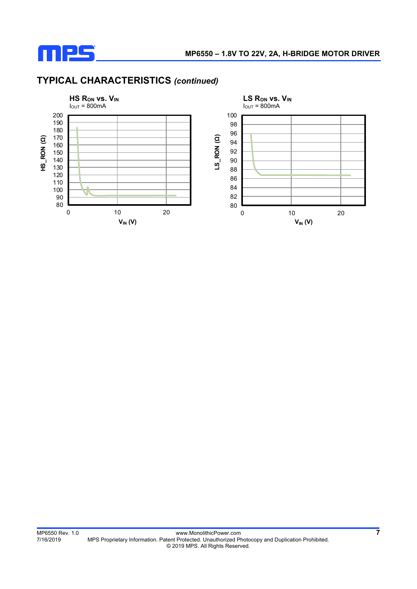

# **TYPICAL CHARACTERISTICS** *(continued)*

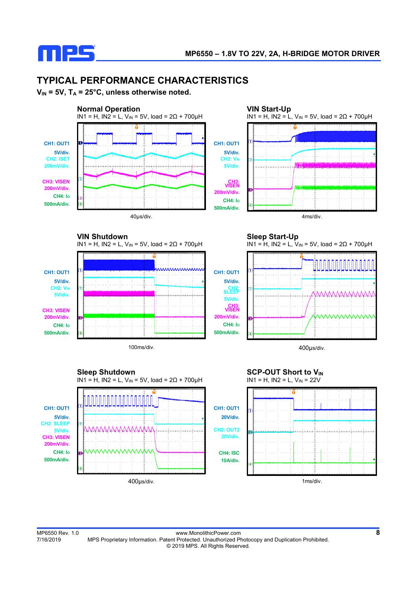

# **TYPICAL PERFORMANCE CHARACTERISTICS**

IN1 = H, IN2 = L, V<sub>IN</sub> = 5V, load =  $2Ω + 700µH$ 

**VIN = 5V, TA = 25°C, unless otherwise noted.**



mnnnnnnn

 **VIN Shutdown** 







**CH1: OUT1 5V/div. CH2: VIN 5V/div.** 

**CH3: VISEN 200mV/div. CH4: IO 500mA/div.**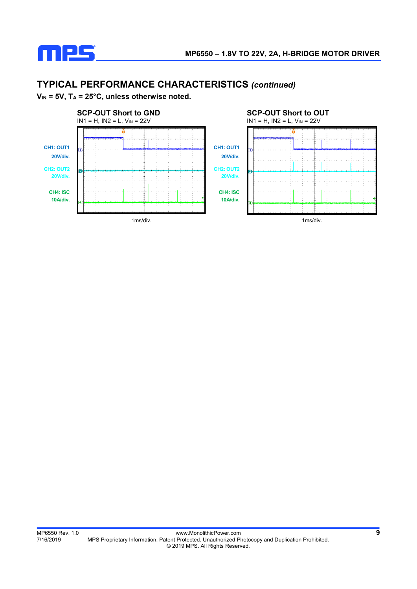

# **TYPICAL PERFORMANCE CHARACTERISTICS** *(continued)*

 $V_{IN}$  = 5V,  $T_A$  = 25°C, unless otherwise noted.

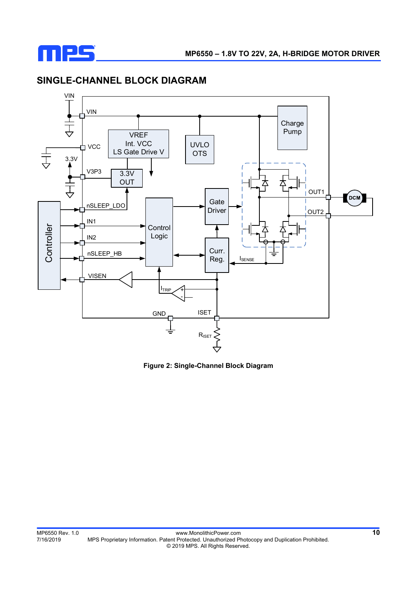

# **SINGLE-CHANNEL BLOCK DIAGRAM**



**Figure 2: Single-Channel Block Diagram**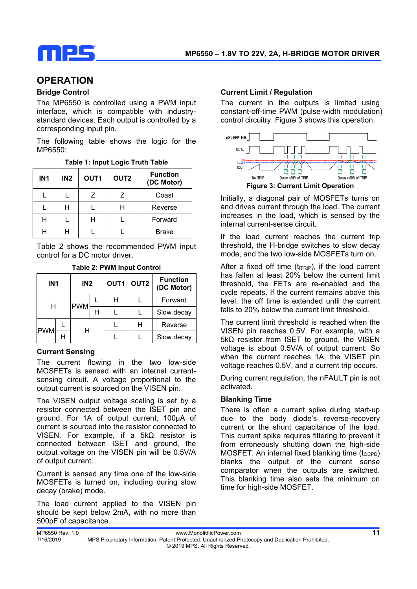

# **OPERATION**

## **Bridge Control**

The MP6550 is controlled using a PWM input interface, which is compatible with industrystandard devices. Each output is controlled by a corresponding input pin.

The following table shows the logic for the MP6550:

|  |  |  |  |  | Table 1: Input Logic Truth Table |
|--|--|--|--|--|----------------------------------|
|--|--|--|--|--|----------------------------------|

| IN <sub>1</sub> | IN2 | OUT <sub>1</sub> | OUT <sub>2</sub> | <b>Function</b><br>(DC Motor) |
|-----------------|-----|------------------|------------------|-------------------------------|
|                 |     | 7                | Ζ                | Coast                         |
|                 |     |                  |                  | Reverse                       |
|                 |     |                  |                  | Forward                       |
|                 |     |                  |                  | <b>Brake</b>                  |

Table 2 shows the recommended PWM input control for a DC motor driver.

|            | IN <sub>2</sub><br>IN <sub>1</sub> |            | OUT1<br>OUT <sub>2</sub> |   | <b>Function</b><br>(DC Motor) |            |
|------------|------------------------------------|------------|--------------------------|---|-------------------------------|------------|
| н          |                                    | <b>PWM</b> |                          | н |                               | Forward    |
|            |                                    |            | н                        |   |                               | Slow decay |
|            |                                    |            |                          |   | Н                             | Reverse    |
| <b>PWM</b> |                                    |            |                          |   |                               | Slow decay |

## **Table 2: PWM Input Control**

#### **Current Sensing**

The current flowing in the two low-side MOSFETs is sensed with an internal currentsensing circuit. A voltage proportional to the output current is sourced on the VISEN pin.

The VISEN output voltage scaling is set by a resistor connected between the ISET pin and ground. For 1A of output current, 100µA of current is sourced into the resistor connected to VISEN. For example, if a 5kΩ resistor is connected between ISET and ground, the output voltage on the VISEN pin will be 0.5V/A of output current.

Current is sensed any time one of the low-side MOSFETs is turned on, including during slow decay (brake) mode.

The load current applied to the VISEN pin should be kept below 2mA, with no more than 500pF of capacitance.

## **Current Limit / Regulation**

The current in the outputs is limited using constant-off-time PWM (pulse-width modulation) control circuitry. Figure 3 shows this operation.



Initially, a diagonal pair of MOSFETs turns on and drives current through the load. The current increases in the load, which is sensed by the internal current-sense circuit.

If the load current reaches the current trip threshold, the H-bridge switches to slow decay mode, and the two low-side MOSFETs turn on.

After a fixed off time  $(t_{\text{ITRIP}})$ , if the load current has fallen at least 20% below the current limit threshold, the FETs are re-enabled and the cycle repeats. If the current remains above this level, the off time is extended until the current falls to 20% below the current limit threshold.

The current limit threshold is reached when the VISEN pin reaches 0.5V. For example, with a 5kΩ resistor from ISET to ground, the VISEN voltage is about 0.5V/A of output current. So when the current reaches 1A, the VISET pin voltage reaches 0.5V, and a current trip occurs.

During current regulation, the nFAULT pin is not activated.

#### **Blanking Time**

There is often a current spike during start-up due to the body diode's reverse-recovery current or the shunt capacitance of the load. This current spike requires filtering to prevent it from erroneously shutting down the high-side MOSFET. An internal fixed blanking time  $(t_{\text{OCPD}})$ blanks the output of the current sense comparator when the outputs are switched. This blanking time also sets the minimum on time for high-side MOSFET.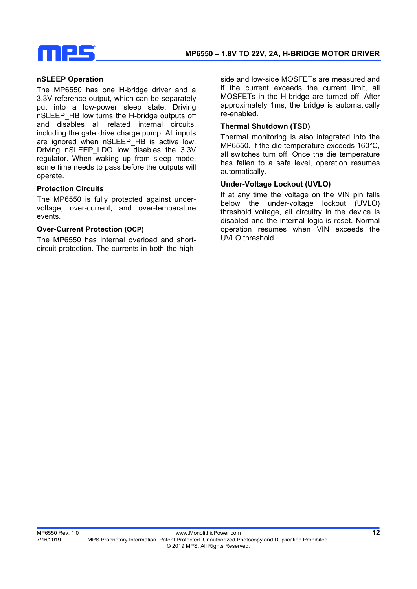# IPS

#### **nSLEEP Operation**

The MP6550 has one H-bridge driver and a 3.3V reference output, which can be separately put into a low-power sleep state. Driving nSLEEP\_HB low turns the H-bridge outputs off and disables all related internal circuits, including the gate drive charge pump. All inputs are ignored when nSLEEP\_HB is active low. Driving nSLEEP\_LDO low disables the 3.3V regulator. When waking up from sleep mode, some time needs to pass before the outputs will operate.

## **Protection Circuits**

The MP6550 is fully protected against undervoltage, over-current, and over-temperature events.

## **Over-Current Protection (OCP)**

The MP6550 has internal overload and shortcircuit protection. The currents in both the highside and low-side MOSFETs are measured and if the current exceeds the current limit, all MOSFETs in the H-bridge are turned off. After approximately 1ms, the bridge is automatically re-enabled.

## **Thermal Shutdown (TSD)**

Thermal monitoring is also integrated into the MP6550. If the die temperature exceeds 160°C, all switches turn off. Once the die temperature has fallen to a safe level, operation resumes automatically.

## **Under-Voltage Lockout (UVLO)**

If at any time the voltage on the VIN pin falls below the under-voltage lockout (UVLO) threshold voltage, all circuitry in the device is disabled and the internal logic is reset. Normal operation resumes when VIN exceeds the UVLO threshold.